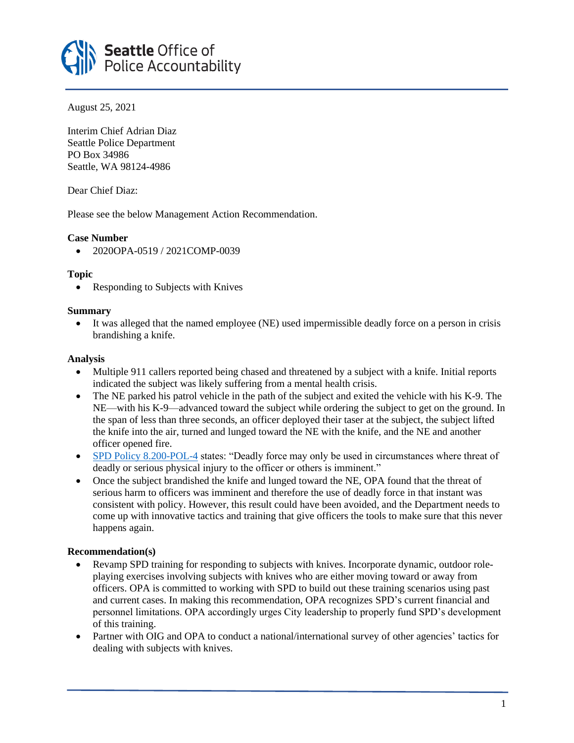

August 25, 2021

Interim Chief Adrian Diaz Seattle Police Department PO Box 34986 Seattle, WA 98124-4986

Dear Chief Diaz:

Please see the below Management Action Recommendation.

# **Case Number**

• 2020OPA-0519 / 2021COMP-0039

### **Topic**

• Responding to Subjects with Knives

### **Summary**

• It was alleged that the named employee (NE) used impermissible deadly force on a person in crisis brandishing a knife.

# **Analysis**

- Multiple 911 callers reported being chased and threatened by a subject with a knife. Initial reports indicated the subject was likely suffering from a mental health crisis.
- The NE parked his patrol vehicle in the path of the subject and exited the vehicle with his K-9. The NE—with his K-9—advanced toward the subject while ordering the subject to get on the ground. In the span of less than three seconds, an officer deployed their taser at the subject, the subject lifted the knife into the air, turned and lunged toward the NE with the knife, and the NE and another officer opened fire.
- [SPD Policy 8.200-POL-4](https://www.seattle.gov/police-manual/title-8---use-of-force/8200---using-force) states: "Deadly force may only be used in circumstances where threat of deadly or serious physical injury to the officer or others is imminent."
- Once the subject brandished the knife and lunged toward the NE, OPA found that the threat of serious harm to officers was imminent and therefore the use of deadly force in that instant was consistent with policy. However, this result could have been avoided, and the Department needs to come up with innovative tactics and training that give officers the tools to make sure that this never happens again.

# **Recommendation(s)**

- Revamp SPD training for responding to subjects with knives. Incorporate dynamic, outdoor roleplaying exercises involving subjects with knives who are either moving toward or away from officers. OPA is committed to working with SPD to build out these training scenarios using past and current cases. In making this recommendation, OPA recognizes SPD's current financial and personnel limitations. OPA accordingly urges City leadership to properly fund SPD's development of this training.
- Partner with OIG and OPA to conduct a national/international survey of other agencies' tactics for dealing with subjects with knives.